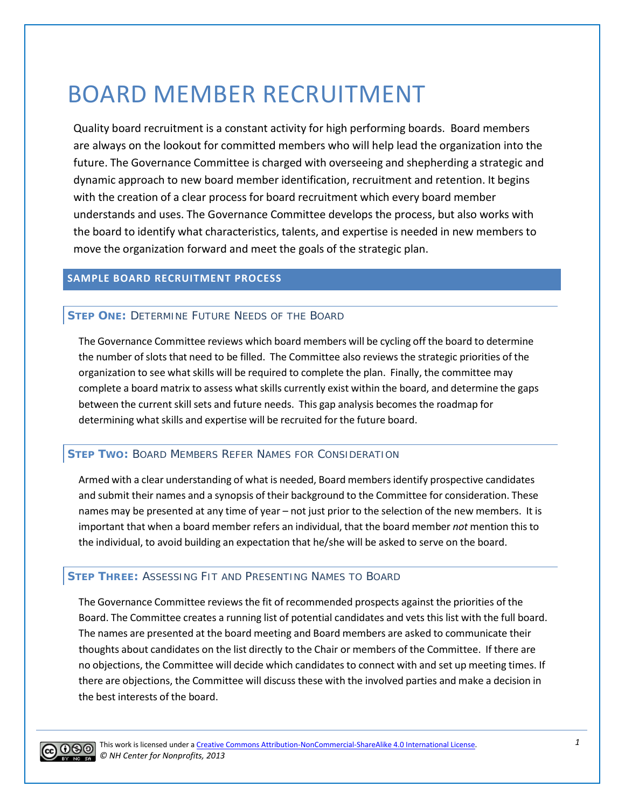# BOARD MEMBER RECRUITMENT

Quality board recruitment is a constant activity for high performing boards. Board members are always on the lookout for committed members who will help lead the organization into the future. The Governance Committee is charged with overseeing and shepherding a strategic and dynamic approach to new board member identification, recruitment and retention. It begins with the creation of a clear process for board recruitment which every board member understands and uses. The Governance Committee develops the process, but also works with the board to identify what characteristics, talents, and expertise is needed in new members to move the organization forward and meet the goals of the strategic plan.

# **SAMPLE BOARD RECRUITMENT PROCESS**

# **STEP ONE:** DETERMINE FUTURE NEEDS OF THE BOARD

The Governance Committee reviews which board members will be cycling off the board to determine the number ofslots that need to be filled. The Committee also reviews the strategic priorities of the organization to see what skills will be required to complete the plan. Finally, the committee may complete a board matrix to assess what skills currently exist within the board, and determine the gaps between the current skill sets and future needs. This gap analysis becomes the roadmap for determining what skills and expertise will be recruited for the future board.

# **STEP TWO:** BOARD MEMBERS REFER NAMES FOR CONSIDERATION

Armed with a clear understanding of what is needed, Board membersidentify prospective candidates and submit their names and a synopsis of their background to the Committee for consideration. These names may be presented at any time of year – not just prior to the selection of the new members. It is important that when a board member refers an individual, that the board member *not* mention this to the individual, to avoid building an expectation that he/she will be asked to serve on the board.

#### **STEP THREE:** ASSESSING FIT AND PRESENTING NAMES TO BOARD

The Governance Committee reviews the fit of recommended prospects against the priorities of the Board. The Committee creates a running list of potential candidates and vets this list with the full board. The names are presented at the board meeting and Board members are asked to communicate their thoughts about candidates on the list directly to the Chair or members of the Committee. If there are no objections, the Committee will decide which candidates to connect with and set up meeting times. If there are objections, the Committee will discuss these with the involved parties and make a decision in the best interests of the board.



This work is licensed under a [Creative Commons Attribution-NonCommercial-ShareAlike 4.0 International License.](http://creativecommons.org/licenses/by-nc-sa/4.0/) *© NH Center for Nonprofits, 2013*